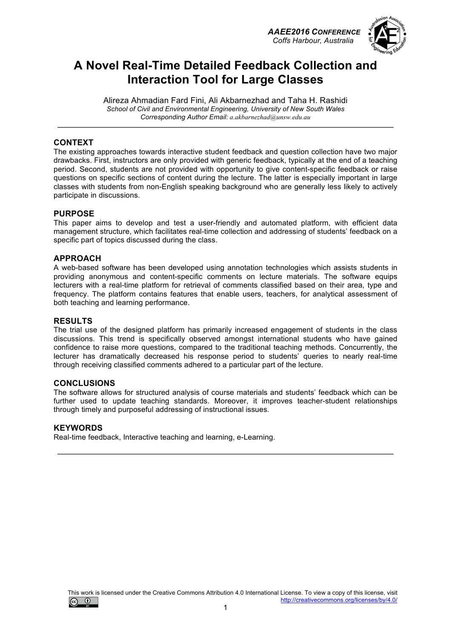



## **A Novel Real-Time Detailed Feedback Collection and Interaction Tool for Large Classes**

Alireza Ahmadian Fard Fini, Ali Akbarnezhad and Taha H. Rashidi *School of Civil and Environmental Engineering, University of New South Wales Corresponding Author Email: a.akbarnezhad@unsw.edu.au*

## **CONTEXT**

The existing approaches towards interactive student feedback and question collection have two major drawbacks. First, instructors are only provided with generic feedback, typically at the end of a teaching period. Second, students are not provided with opportunity to give content-specific feedback or raise questions on specific sections of content during the lecture. The latter is especially important in large classes with students from non-English speaking background who are generally less likely to actively participate in discussions.

## **PURPOSE**

This paper aims to develop and test a user-friendly and automated platform, with efficient data management structure, which facilitates real-time collection and addressing of students' feedback on a specific part of topics discussed during the class.

## **APPROACH**

A web-based software has been developed using annotation technologies which assists students in providing anonymous and content-specific comments on lecture materials. The software equips lecturers with a real-time platform for retrieval of comments classified based on their area, type and frequency. The platform contains features that enable users, teachers, for analytical assessment of both teaching and learning performance.

#### **RESULTS**

The trial use of the designed platform has primarily increased engagement of students in the class discussions. This trend is specifically observed amongst international students who have gained confidence to raise more questions, compared to the traditional teaching methods. Concurrently, the lecturer has dramatically decreased his response period to students' queries to nearly real-time through receiving classified comments adhered to a particular part of the lecture.

## **CONCLUSIONS**

The software allows for structured analysis of course materials and students' feedback which can be further used to update teaching standards. Moreover, it improves teacher-student relationships through timely and purposeful addressing of instructional issues.

## **KEYWORDS**

Real-time feedback, Interactive teaching and learning, e-Learning.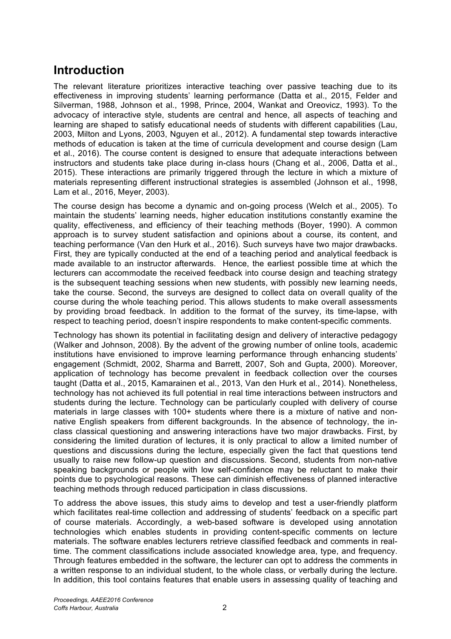# **Introduction**

The relevant literature prioritizes interactive teaching over passive teaching due to its effectiveness in improving students' learning performance (Datta et al., 2015, Felder and Silverman, 1988, Johnson et al., 1998, Prince, 2004, Wankat and Oreovicz, 1993). To the advocacy of interactive style, students are central and hence, all aspects of teaching and learning are shaped to satisfy educational needs of students with different capabilities (Lau, 2003, Milton and Lyons, 2003, Nguyen et al., 2012). A fundamental step towards interactive methods of education is taken at the time of curricula development and course design (Lam et al., 2016). The course content is designed to ensure that adequate interactions between instructors and students take place during in-class hours (Chang et al., 2006, Datta et al., 2015). These interactions are primarily triggered through the lecture in which a mixture of materials representing different instructional strategies is assembled (Johnson et al., 1998, Lam et al., 2016, Meyer, 2003).

The course design has become a dynamic and on-going process (Welch et al., 2005). To maintain the students' learning needs, higher education institutions constantly examine the quality, effectiveness, and efficiency of their teaching methods (Boyer, 1990). A common approach is to survey student satisfaction and opinions about a course, its content, and teaching performance (Van den Hurk et al., 2016). Such surveys have two major drawbacks. First, they are typically conducted at the end of a teaching period and analytical feedback is made available to an instructor afterwards. Hence, the earliest possible time at which the lecturers can accommodate the received feedback into course design and teaching strategy is the subsequent teaching sessions when new students, with possibly new learning needs, take the course. Second, the surveys are designed to collect data on overall quality of the course during the whole teaching period. This allows students to make overall assessments by providing broad feedback. In addition to the format of the survey, its time-lapse, with respect to teaching period, doesn't inspire respondents to make content-specific comments.

Technology has shown its potential in facilitating design and delivery of interactive pedagogy (Walker and Johnson, 2008). By the advent of the growing number of online tools, academic institutions have envisioned to improve learning performance through enhancing students' engagement (Schmidt, 2002, Sharma and Barrett, 2007, Soh and Gupta, 2000). Moreover, application of technology has become prevalent in feedback collection over the courses taught (Datta et al., 2015, Kamarainen et al., 2013, Van den Hurk et al., 2014). Nonetheless, technology has not achieved its full potential in real time interactions between instructors and students during the lecture. Technology can be particularly coupled with delivery of course materials in large classes with 100+ students where there is a mixture of native and nonnative English speakers from different backgrounds. In the absence of technology, the inclass classical questioning and answering interactions have two major drawbacks. First, by considering the limited duration of lectures, it is only practical to allow a limited number of questions and discussions during the lecture, especially given the fact that questions tend usually to raise new follow-up question and discussions. Second, students from non-native speaking backgrounds or people with low self-confidence may be reluctant to make their points due to psychological reasons. These can diminish effectiveness of planned interactive teaching methods through reduced participation in class discussions.

To address the above issues, this study aims to develop and test a user-friendly platform which facilitates real-time collection and addressing of students' feedback on a specific part of course materials. Accordingly, a web-based software is developed using annotation technologies which enables students in providing content-specific comments on lecture materials. The software enables lecturers retrieve classified feedback and comments in realtime. The comment classifications include associated knowledge area, type, and frequency. Through features embedded in the software, the lecturer can opt to address the comments in a written response to an individual student, to the whole class, or verbally during the lecture. In addition, this tool contains features that enable users in assessing quality of teaching and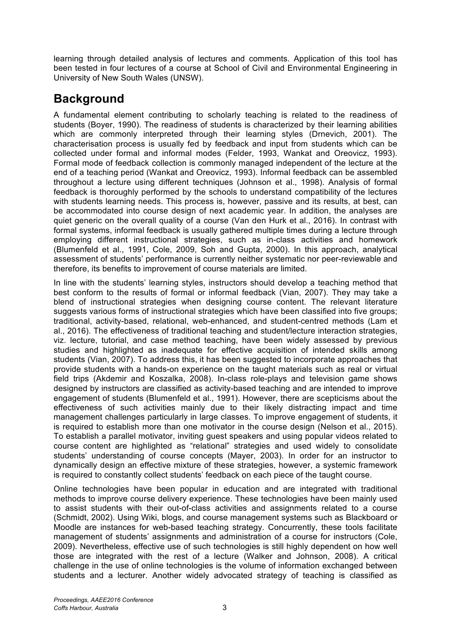learning through detailed analysis of lectures and comments. Application of this tool has been tested in four lectures of a course at School of Civil and Environmental Engineering in University of New South Wales (UNSW).

# **Background**

A fundamental element contributing to scholarly teaching is related to the readiness of students (Boyer, 1990). The readiness of students is characterized by their learning abilities which are commonly interpreted through their learning styles (Drnevich, 2001). The characterisation process is usually fed by feedback and input from students which can be collected under formal and informal modes (Felder, 1993, Wankat and Oreovicz, 1993). Formal mode of feedback collection is commonly managed independent of the lecture at the end of a teaching period (Wankat and Oreovicz, 1993). Informal feedback can be assembled throughout a lecture using different techniques (Johnson et al., 1998). Analysis of formal feedback is thoroughly performed by the schools to understand compatibility of the lectures with students learning needs. This process is, however, passive and its results, at best, can be accommodated into course design of next academic year. In addition, the analyses are quiet generic on the overall quality of a course (Van den Hurk et al., 2016). In contrast with formal systems, informal feedback is usually gathered multiple times during a lecture through employing different instructional strategies, such as in-class activities and homework (Blumenfeld et al., 1991, Cole, 2009, Soh and Gupta, 2000). In this approach, analytical assessment of students' performance is currently neither systematic nor peer-reviewable and therefore, its benefits to improvement of course materials are limited.

In line with the students' learning styles, instructors should develop a teaching method that best conform to the results of formal or informal feedback (Vian, 2007). They may take a blend of instructional strategies when designing course content. The relevant literature suggests various forms of instructional strategies which have been classified into five groups; traditional, activity-based, relational, web-enhanced, and student-centred methods (Lam et al., 2016). The effectiveness of traditional teaching and student/lecture interaction strategies, viz. lecture, tutorial, and case method teaching, have been widely assessed by previous studies and highlighted as inadequate for effective acquisition of intended skills among students (Vian, 2007). To address this, it has been suggested to incorporate approaches that provide students with a hands-on experience on the taught materials such as real or virtual field trips (Akdemir and Koszalka, 2008). In-class role-plays and television game shows designed by instructors are classified as activity-based teaching and are intended to improve engagement of students (Blumenfeld et al., 1991). However, there are scepticisms about the effectiveness of such activities mainly due to their likely distracting impact and time management challenges particularly in large classes. To improve engagement of students, it is required to establish more than one motivator in the course design (Nelson et al., 2015). To establish a parallel motivator, inviting guest speakers and using popular videos related to course content are highlighted as "relational" strategies and used widely to consolidate students' understanding of course concepts (Mayer, 2003). In order for an instructor to dynamically design an effective mixture of these strategies, however, a systemic framework is required to constantly collect students' feedback on each piece of the taught course.

Online technologies have been popular in education and are integrated with traditional methods to improve course delivery experience. These technologies have been mainly used to assist students with their out-of-class activities and assignments related to a course (Schmidt, 2002). Using Wiki, blogs, and course management systems such as Blackboard or Moodle are instances for web-based teaching strategy. Concurrently, these tools facilitate management of students' assignments and administration of a course for instructors (Cole, 2009). Nevertheless, effective use of such technologies is still highly dependent on how well those are integrated with the rest of a lecture (Walker and Johnson, 2008). A critical challenge in the use of online technologies is the volume of information exchanged between students and a lecturer. Another widely advocated strategy of teaching is classified as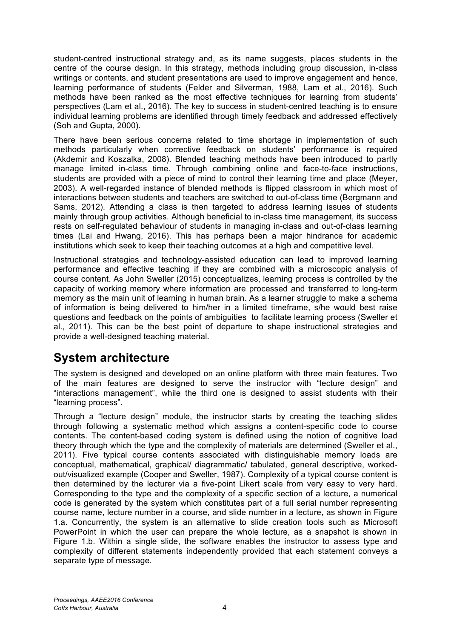student-centred instructional strategy and, as its name suggests, places students in the centre of the course design. In this strategy, methods including group discussion, in-class writings or contents, and student presentations are used to improve engagement and hence, learning performance of students (Felder and Silverman, 1988, Lam et al., 2016). Such methods have been ranked as the most effective techniques for learning from students' perspectives (Lam et al., 2016). The key to success in student-centred teaching is to ensure individual learning problems are identified through timely feedback and addressed effectively (Soh and Gupta, 2000).

There have been serious concerns related to time shortage in implementation of such methods particularly when corrective feedback on students' performance is required (Akdemir and Koszalka, 2008). Blended teaching methods have been introduced to partly manage limited in-class time. Through combining online and face-to-face instructions, students are provided with a piece of mind to control their learning time and place (Meyer, 2003). A well-regarded instance of blended methods is flipped classroom in which most of interactions between students and teachers are switched to out-of-class time (Bergmann and Sams, 2012). Attending a class is then targeted to address learning issues of students mainly through group activities. Although beneficial to in-class time management, its success rests on self-regulated behaviour of students in managing in-class and out-of-class learning times (Lai and Hwang, 2016). This has perhaps been a major hindrance for academic institutions which seek to keep their teaching outcomes at a high and competitive level.

Instructional strategies and technology-assisted education can lead to improved learning performance and effective teaching if they are combined with a microscopic analysis of course content. As John Sweller (2015) conceptualizes, learning process is controlled by the capacity of working memory where information are processed and transferred to long-term memory as the main unit of learning in human brain. As a learner struggle to make a schema of information is being delivered to him/her in a limited timeframe, s/he would best raise questions and feedback on the points of ambiguities to facilitate learning process (Sweller et al., 2011). This can be the best point of departure to shape instructional strategies and provide a well-designed teaching material.

## **System architecture**

The system is designed and developed on an online platform with three main features. Two of the main features are designed to serve the instructor with "lecture design" and "interactions management", while the third one is designed to assist students with their "learning process".

Through a "lecture design" module, the instructor starts by creating the teaching slides through following a systematic method which assigns a content-specific code to course contents. The content-based coding system is defined using the notion of cognitive load theory through which the type and the complexity of materials are determined (Sweller et al., 2011). Five typical course contents associated with distinguishable memory loads are conceptual, mathematical, graphical/ diagrammatic/ tabulated, general descriptive, workedout/visualized example (Cooper and Sweller, 1987). Complexity of a typical course content is then determined by the lecturer via a five-point Likert scale from very easy to very hard. Corresponding to the type and the complexity of a specific section of a lecture, a numerical code is generated by the system which constitutes part of a full serial number representing course name, lecture number in a course, and slide number in a lecture, as shown in Figure 1.a. Concurrently, the system is an alternative to slide creation tools such as Microsoft PowerPoint in which the user can prepare the whole lecture, as a snapshot is shown in Figure 1.b. Within a single slide, the software enables the instructor to assess type and complexity of different statements independently provided that each statement conveys a separate type of message.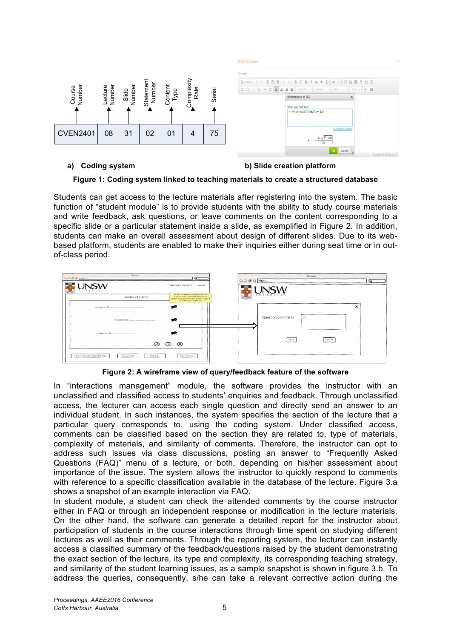

**a) Coding system b) Slide creation platform**

## **Figure 1: Coding system linked to teaching materials to create a structured database**

Students can get access to the lecture materials after registering into the system. The basic function of "student module" is to provide students with the ability to study course materials and write feedback, ask questions, or leave comments on the content corresponding to a specific slide or a particular statement inside a slide, as exemplified in Figure 2. In addition, students can make an overall assessment about design of different slides. Due to its webbased platform, students are enabled to make their inquiries either during seat time or in outof-class period.



**Figure 2: A wireframe view of query/feedback feature of the software** 

In "interactions management" module, the software provides the instructor with an unclassified and classified access to students' enquiries and feedback. Through unclassified access, the lecturer can access each single question and directly send an answer to an individual student. In such instances, the system specifies the section of the lecture that a particular query corresponds to, using the coding system. Under classified access, comments can be classified based on the section they are related to, type of materials, complexity of materials, and similarity of comments. Therefore, the instructor can opt to address such issues via class discussions, posting an answer to "Frequently Asked Questions (FAQ)" menu of a lecture, or both, depending on his/her assessment about importance of the issue. The system allows the instructor to quickly respond to comments with reference to a specific classification available in the database of the lecture. Figure 3.a shows a snapshot of an example interaction via FAQ.

In student module, a student can check the attended comments by the course instructor either in FAQ or through an independent response or modification in the lecture materials. On the other hand, the software can generate a detailed report for the instructor about participation of students in the course interactions through time spent on studying different lectures as well as their comments. Through the reporting system, the lecturer can instantly access a classified summary of the feedback/questions raised by the student demonstrating the exact section of the lecture, its type and complexity, its corresponding teaching strategy, and similarity of the student learning issues, as a sample snapshot is shown in figure 3.b. To address the queries, consequently, s/he can take a relevant corrective action during the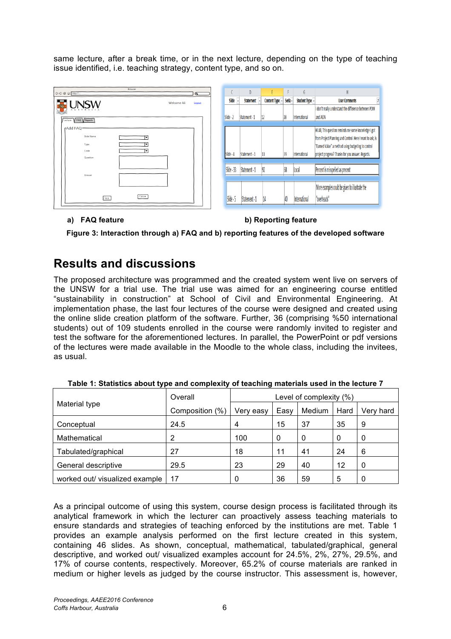same lecture, after a break time, or in the next lecture, depending on the type of teaching issue identified, i.e. teaching strategy, content type, and so on.

| <b>Browser</b><br>⇔⇒ @ @ http://<br>⋐ |                       |           | $\mathbb{D}$     |              |         |                | H                                                         |  |
|---------------------------------------|-----------------------|-----------|------------------|--------------|---------|----------------|-----------------------------------------------------------|--|
|                                       | Welcome Ali<br>Logout | Slide     | <b>Statement</b> | Content Type | Seria - | Student Type - | <b>User Comments</b>                                      |  |
| 鼻<br><b>UNSW</b>                      |                       |           |                  |              |         |                | I don't really understand the difference between PDM      |  |
| Lecture FAQ Reports                   |                       | Slide - 2 | Statement - 1    | 12           | 38      | International  | and AON                                                   |  |
|                                       |                       |           |                  |              |         |                |                                                           |  |
| rAdd FAQ-                             |                       |           |                  |              |         |                | Hi Ali, This question reminds me some knowledge I got     |  |
| Slide Name<br>E                       |                       |           |                  |              |         |                | from Project Planning and Control. Here I want to ask, is |  |
| Type<br>۰                             |                       |           |                  |              |         |                | "Earned Value" a method using budgeting to control        |  |
| ▼<br>Code                             |                       | Slide - 4 | Statement - 1    | 13           | 39      | International  | project progress? Thanks for you answer. Regards.         |  |
| Question                              |                       |           |                  |              |         |                |                                                           |  |
|                                       |                       | $Side-33$ | Statement - 1    | 92           | 68      | Local          | Percent is misspelled as precent                          |  |
| Answer                                |                       |           |                  |              |         |                |                                                           |  |
|                                       |                       |           |                  |              |         |                | More examples could be given to illustrate the            |  |
| Cancel<br>Save                        |                       | Slide - 5 | Statement - 1    | 14           | 40      | International  | "overheads"                                               |  |

**a) FAQ feature b) Reporting feature**

**Figure 3: Interaction through a) FAQ and b) reporting features of the developed software**

## **Results and discussions**

The proposed architecture was programmed and the created system went live on servers of the UNSW for a trial use. The trial use was aimed for an engineering course entitled "sustainability in construction" at School of Civil and Environmental Engineering. At implementation phase, the last four lectures of the course were designed and created using the online slide creation platform of the software. Further, 36 (comprising %50 international students) out of 109 students enrolled in the course were randomly invited to register and test the software for the aforementioned lectures. In parallel, the PowerPoint or pdf versions of the lectures were made available in the Moodle to the whole class, including the invitees, as usual.

|                                | Overall         | Level of complexity (%) |      |        |      |           |  |
|--------------------------------|-----------------|-------------------------|------|--------|------|-----------|--|
| Material type                  | Composition (%) | Very easy               | Easy | Medium | Hard | Very hard |  |
| Conceptual                     | 24.5            | 4                       | 15   | 37     | 35   | 9         |  |
| Mathematical                   | າ               | 100                     |      | 0      | 0    | 0         |  |
| Tabulated/graphical            | 27              | 18                      | 11   | 41     | 24   | 6         |  |
| General descriptive            | 29.5            | 23                      | 29   | 40     | 12   | 0         |  |
| worked out/ visualized example | 17              | $\Omega$                | 36   | 59     | 5    | 0         |  |

**Table 1: Statistics about type and complexity of teaching materials used in the lecture 7**

As a principal outcome of using this system, course design process is facilitated through its analytical framework in which the lecturer can proactively assess teaching materials to ensure standards and strategies of teaching enforced by the institutions are met. Table 1 provides an example analysis performed on the first lecture created in this system, containing 46 slides. As shown, conceptual, mathematical, tabulated/graphical, general descriptive, and worked out/ visualized examples account for 24.5%, 2%, 27%, 29.5%, and 17% of course contents, respectively. Moreover, 65.2% of course materials are ranked in medium or higher levels as judged by the course instructor. This assessment is, however,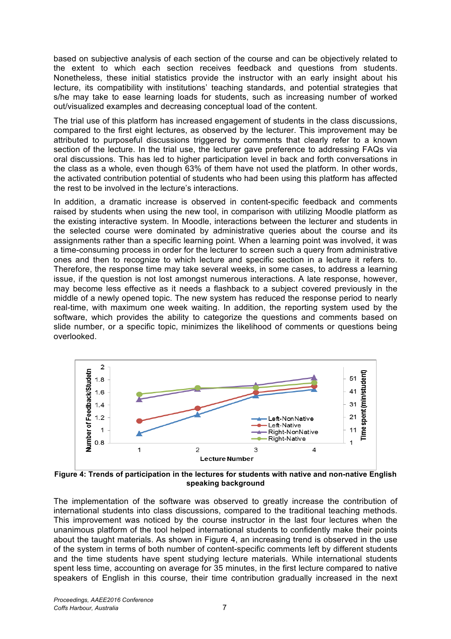based on subjective analysis of each section of the course and can be objectively related to the extent to which each section receives feedback and questions from students. Nonetheless, these initial statistics provide the instructor with an early insight about his lecture, its compatibility with institutions' teaching standards, and potential strategies that s/he may take to ease learning loads for students, such as increasing number of worked out/visualized examples and decreasing conceptual load of the content.

The trial use of this platform has increased engagement of students in the class discussions, compared to the first eight lectures, as observed by the lecturer. This improvement may be attributed to purposeful discussions triggered by comments that clearly refer to a known section of the lecture. In the trial use, the lecturer gave preference to addressing FAQs via oral discussions. This has led to higher participation level in back and forth conversations in the class as a whole, even though 63% of them have not used the platform. In other words, the activated contribution potential of students who had been using this platform has affected the rest to be involved in the lecture's interactions.

In addition, a dramatic increase is observed in content-specific feedback and comments raised by students when using the new tool, in comparison with utilizing Moodle platform as the existing interactive system. In Moodle, interactions between the lecturer and students in the selected course were dominated by administrative queries about the course and its assignments rather than a specific learning point. When a learning point was involved, it was a time-consuming process in order for the lecturer to screen such a query from administrative ones and then to recognize to which lecture and specific section in a lecture it refers to. Therefore, the response time may take several weeks, in some cases, to address a learning issue, if the question is not lost amongst numerous interactions. A late response, however, may become less effective as it needs a flashback to a subject covered previously in the middle of a newly opened topic. The new system has reduced the response period to nearly real-time, with maximum one week waiting. In addition, the reporting system used by the software, which provides the ability to categorize the questions and comments based on slide number, or a specific topic, minimizes the likelihood of comments or questions being overlooked.



**Figure 4: Trends of participation in the lectures for students with native and non-native English speaking background**

The implementation of the software was observed to greatly increase the contribution of international students into class discussions, compared to the traditional teaching methods. This improvement was noticed by the course instructor in the last four lectures when the unanimous platform of the tool helped international students to confidently make their points about the taught materials. As shown in Figure 4, an increasing trend is observed in the use of the system in terms of both number of content-specific comments left by different students and the time students have spent studying lecture materials. While international students spent less time, accounting on average for 35 minutes, in the first lecture compared to native speakers of English in this course, their time contribution gradually increased in the next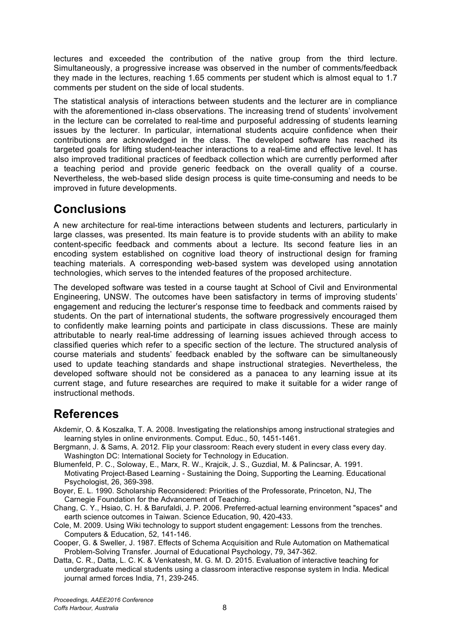lectures and exceeded the contribution of the native group from the third lecture. Simultaneously, a progressive increase was observed in the number of comments/feedback they made in the lectures, reaching 1.65 comments per student which is almost equal to 1.7 comments per student on the side of local students.

The statistical analysis of interactions between students and the lecturer are in compliance with the aforementioned in-class observations. The increasing trend of students' involvement in the lecture can be correlated to real-time and purposeful addressing of students learning issues by the lecturer. In particular, international students acquire confidence when their contributions are acknowledged in the class. The developed software has reached its targeted goals for lifting student-teacher interactions to a real-time and effective level. It has also improved traditional practices of feedback collection which are currently performed after a teaching period and provide generic feedback on the overall quality of a course. Nevertheless, the web-based slide design process is quite time-consuming and needs to be improved in future developments.

# **Conclusions**

A new architecture for real-time interactions between students and lecturers, particularly in large classes, was presented. Its main feature is to provide students with an ability to make content-specific feedback and comments about a lecture. Its second feature lies in an encoding system established on cognitive load theory of instructional design for framing teaching materials. A corresponding web-based system was developed using annotation technologies, which serves to the intended features of the proposed architecture.

The developed software was tested in a course taught at School of Civil and Environmental Engineering, UNSW. The outcomes have been satisfactory in terms of improving students' engagement and reducing the lecturer's response time to feedback and comments raised by students. On the part of international students, the software progressively encouraged them to confidently make learning points and participate in class discussions. These are mainly attributable to nearly real-time addressing of learning issues achieved through access to classified queries which refer to a specific section of the lecture. The structured analysis of course materials and students' feedback enabled by the software can be simultaneously used to update teaching standards and shape instructional strategies. Nevertheless, the developed software should not be considered as a panacea to any learning issue at its current stage, and future researches are required to make it suitable for a wider range of instructional methods.

## **References**

- Akdemir, O. & Koszalka, T. A. 2008. Investigating the relationships among instructional strategies and learning styles in online environments. Comput. Educ., 50, 1451-1461.
- Bergmann, J. & Sams, A. 2012. Flip your classroom: Reach every student in every class every day. Washington DC: International Society for Technology in Education.
- Blumenfeld, P. C., Soloway, E., Marx, R. W., Krajcik, J. S., Guzdial, M. & Palincsar, A. 1991. Motivating Project-Based Learning - Sustaining the Doing, Supporting the Learning. Educational Psychologist, 26, 369-398.
- Boyer, E. L. 1990. Scholarship Reconsidered: Priorities of the Professorate, Princeton, NJ, The Carnegie Foundation for the Advancement of Teaching.
- Chang, C. Y., Hsiao, C. H. & Barufaldi, J. P. 2006. Preferred-actual learning environment "spaces" and earth science outcomes in Taiwan. Science Education, 90, 420-433.
- Cole, M. 2009. Using Wiki technology to support student engagement: Lessons from the trenches. Computers & Education, 52, 141-146.
- Cooper, G. & Sweller, J. 1987. Effects of Schema Acquisition and Rule Automation on Mathematical Problem-Solving Transfer. Journal of Educational Psychology, 79, 347-362.
- Datta, C. R., Datta, L. C. K. & Venkatesh, M. G. M. D. 2015. Evaluation of interactive teaching for undergraduate medical students using a classroom interactive response system in India. Medical journal armed forces India, 71, 239-245.